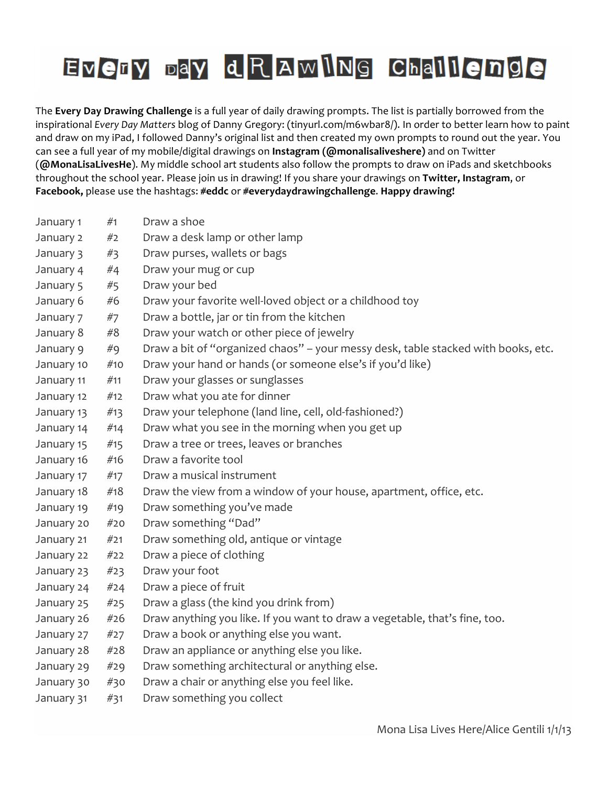| January 1  | #1  | Draw a shoe                                                                       |
|------------|-----|-----------------------------------------------------------------------------------|
| January 2  | #2  | Draw a desk lamp or other lamp                                                    |
| January 3  | #3  | Draw purses, wallets or bags                                                      |
| January 4  | #4  | Draw your mug or cup                                                              |
| January 5  | #5  | Draw your bed                                                                     |
| January 6  | #6  | Draw your favorite well-loved object or a childhood toy                           |
| January 7  | #7  | Draw a bottle, jar or tin from the kitchen                                        |
| January 8  | #8  | Draw your watch or other piece of jewelry                                         |
| January 9  | #9  | Draw a bit of "organized chaos" - your messy desk, table stacked with books, etc. |
| January 10 | #10 | Draw your hand or hands (or someone else's if you'd like)                         |
| January 11 | #11 | Draw your glasses or sunglasses                                                   |
| January 12 | #12 | Draw what you ate for dinner                                                      |
| January 13 | #13 | Draw your telephone (land line, cell, old-fashioned?)                             |
| January 14 | #14 | Draw what you see in the morning when you get up                                  |
| January 15 | #15 | Draw a tree or trees, leaves or branches                                          |
| January 16 | #16 | Draw a favorite tool                                                              |
| January 17 | #17 | Draw a musical instrument                                                         |
| January 18 | #18 | Draw the view from a window of your house, apartment, office, etc.                |
| January 19 | #19 | Draw something you've made                                                        |
| January 20 | #20 | Draw something "Dad"                                                              |
| January 21 | #21 | Draw something old, antique or vintage                                            |
| January 22 | #22 | Draw a piece of clothing                                                          |
| January 23 | #23 | Draw your foot                                                                    |
| January 24 | #24 | Draw a piece of fruit                                                             |
| January 25 | #25 | Draw a glass (the kind you drink from)                                            |
| January 26 | #26 | Draw anything you like. If you want to draw a vegetable, that's fine, too.        |
| January 27 | #27 | Draw a book or anything else you want.                                            |
| January 28 | #28 | Draw an appliance or anything else you like.                                      |
| January 29 | #29 | Draw something architectural or anything else.                                    |
| January 30 | #30 | Draw a chair or anything else you feel like.                                      |
| January 31 | #31 | Draw something you collect                                                        |
|            |     |                                                                                   |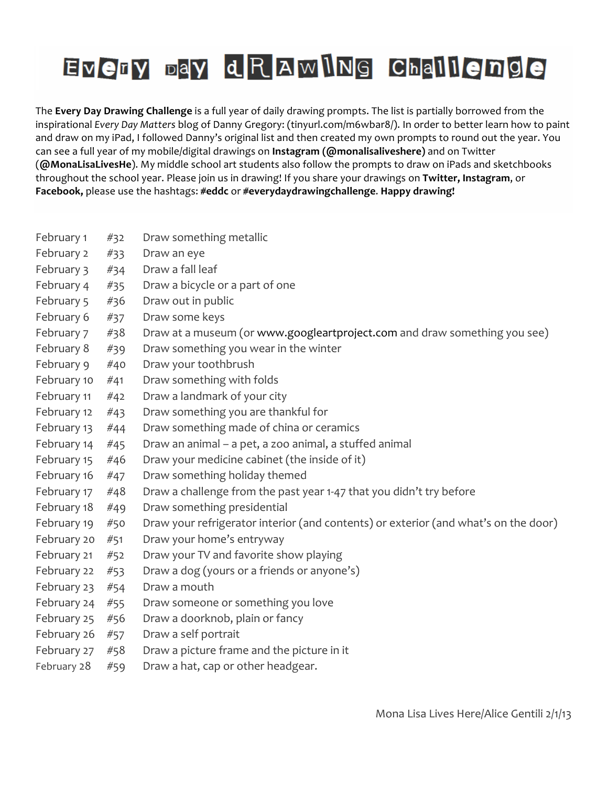| February 1  | #32 | Draw something metallic                                                             |
|-------------|-----|-------------------------------------------------------------------------------------|
| February 2  | #33 | Draw an eye                                                                         |
| February 3  | #34 | Draw a fall leaf                                                                    |
| February 4  | #35 | Draw a bicycle or a part of one                                                     |
| February 5  | #36 | Draw out in public                                                                  |
| February 6  | #37 | Draw some keys                                                                      |
| February 7  | #38 | Draw at a museum (or www.googleartproject.com and draw something you see)           |
| February 8  | #39 | Draw something you wear in the winter                                               |
| February 9  | #40 | Draw your toothbrush                                                                |
| February 10 | #41 | Draw something with folds                                                           |
| February 11 | #42 | Draw a landmark of your city                                                        |
| February 12 | #43 | Draw something you are thankful for                                                 |
| February 13 | #44 | Draw something made of china or ceramics                                            |
| February 14 | #45 | Draw an animal - a pet, a zoo animal, a stuffed animal                              |
| February 15 | #46 | Draw your medicine cabinet (the inside of it)                                       |
| February 16 | #47 | Draw something holiday themed                                                       |
| February 17 | #48 | Draw a challenge from the past year 1-47 that you didn't try before                 |
| February 18 | #49 | Draw something presidential                                                         |
| February 19 | #50 | Draw your refrigerator interior (and contents) or exterior (and what's on the door) |
| February 20 | #51 | Draw your home's entryway                                                           |
| February 21 | #52 | Draw your TV and favorite show playing                                              |
| February 22 | #53 | Draw a dog (yours or a friends or anyone's)                                         |
| February 23 | #54 | Draw a mouth                                                                        |
| February 24 | #55 | Draw someone or something you love                                                  |
| February 25 | #56 | Draw a doorknob, plain or fancy                                                     |
| February 26 | #57 | Draw a self portrait                                                                |
| February 27 | #58 | Draw a picture frame and the picture in it                                          |
| February 28 | #59 | Draw a hat, cap or other headgear.                                                  |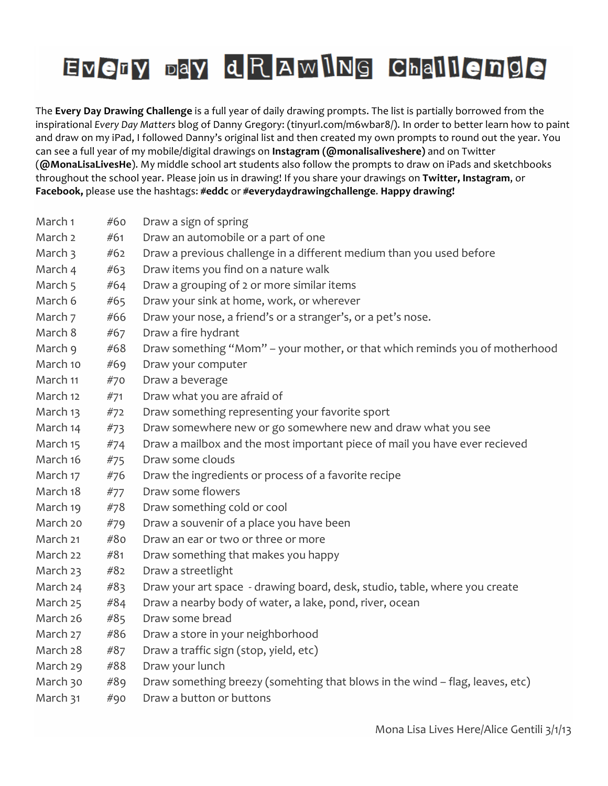| March 1  | #60 | Draw a sign of spring                                                        |
|----------|-----|------------------------------------------------------------------------------|
| March 2  | #61 | Draw an automobile or a part of one                                          |
| March 3  | #62 | Draw a previous challenge in a different medium than you used before         |
| March 4  | #63 | Draw items you find on a nature walk                                         |
| March 5  | #64 | Draw a grouping of 2 or more similar items                                   |
| March 6  | #65 | Draw your sink at home, work, or wherever                                    |
| March 7  | #66 | Draw your nose, a friend's or a stranger's, or a pet's nose.                 |
| March 8  | #67 | Draw a fire hydrant                                                          |
| March 9  | #68 | Draw something "Mom" - your mother, or that which reminds you of motherhood  |
| March 10 | #69 | Draw your computer                                                           |
| March 11 | #70 | Draw a beverage                                                              |
| March 12 | #71 | Draw what you are afraid of                                                  |
| March 13 | #72 | Draw something representing your favorite sport                              |
| March 14 | #73 | Draw somewhere new or go somewhere new and draw what you see                 |
| March 15 | #74 | Draw a mailbox and the most important piece of mail you have ever recieved   |
| March 16 | #75 | Draw some clouds                                                             |
| March 17 | #76 | Draw the ingredients or process of a favorite recipe                         |
| March 18 | #77 | Draw some flowers                                                            |
| March 19 | #78 | Draw something cold or cool                                                  |
| March 20 | #79 | Draw a souvenir of a place you have been                                     |
| March 21 | #80 | Draw an ear or two or three or more                                          |
| March 22 | #81 | Draw something that makes you happy                                          |
| March 23 | #82 | Draw a streetlight                                                           |
| March 24 | #83 | Draw your art space - drawing board, desk, studio, table, where you create   |
| March 25 | #84 | Draw a nearby body of water, a lake, pond, river, ocean                      |
| March 26 | #85 | Draw some bread                                                              |
| March 27 | #86 | Draw a store in your neighborhood                                            |
| March 28 | #87 | Draw a traffic sign (stop, yield, etc)                                       |
| March 29 | #88 | Draw your lunch                                                              |
| March 30 | #89 | Draw something breezy (somehting that blows in the wind - flag, leaves, etc) |
| March 31 | #90 | Draw a button or buttons                                                     |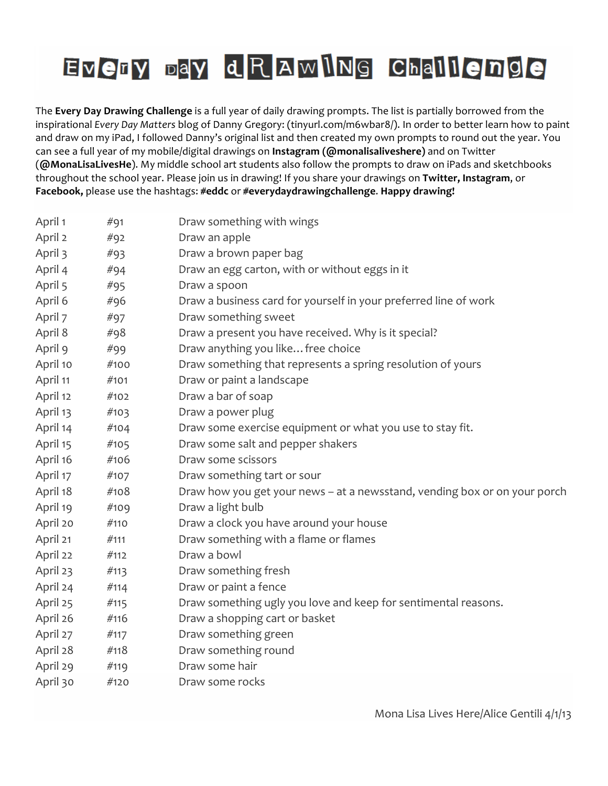| April 1  | #91  | Draw something with wings                                                 |
|----------|------|---------------------------------------------------------------------------|
| April 2  | #92  | Draw an apple                                                             |
| April 3  | #93  | Draw a brown paper bag                                                    |
| April 4  | #94  | Draw an egg carton, with or without eggs in it                            |
| April 5  | #95  | Draw a spoon                                                              |
| April 6  | #96  | Draw a business card for yourself in your preferred line of work          |
| April 7  | #97  | Draw something sweet                                                      |
| April 8  | #98  | Draw a present you have received. Why is it special?                      |
| April 9  | #99  | Draw anything you like free choice                                        |
| April 10 | #100 | Draw something that represents a spring resolution of yours               |
| April 11 | #101 | Draw or paint a landscape                                                 |
| April 12 | #102 | Draw a bar of soap                                                        |
| April 13 | #103 | Draw a power plug                                                         |
| April 14 | #104 | Draw some exercise equipment or what you use to stay fit.                 |
| April 15 | #105 | Draw some salt and pepper shakers                                         |
| April 16 | #106 | Draw some scissors                                                        |
| April 17 | #107 | Draw something tart or sour                                               |
| April 18 | #108 | Draw how you get your news - at a newsstand, vending box or on your porch |
| April 19 | #109 | Draw a light bulb                                                         |
| April 20 | #110 | Draw a clock you have around your house                                   |
| April 21 | #111 | Draw something with a flame or flames                                     |
| April 22 | #112 | Draw a bowl                                                               |
| April 23 | #113 | Draw something fresh                                                      |
| April 24 | #114 | Draw or paint a fence                                                     |
| April 25 | #115 | Draw something ugly you love and keep for sentimental reasons.            |
| April 26 | #116 | Draw a shopping cart or basket                                            |
| April 27 | #117 | Draw something green                                                      |
| April 28 | #118 | Draw something round                                                      |
| April 29 | #119 | Draw some hair                                                            |
| April 30 | #120 | Draw some rocks                                                           |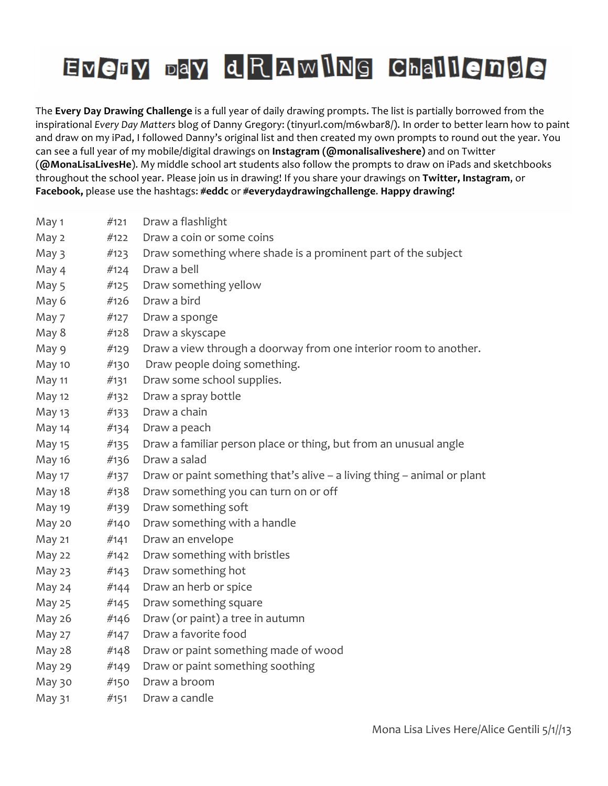| May 1         | #121 | Draw a flashlight                                                       |
|---------------|------|-------------------------------------------------------------------------|
| May 2         | #122 | Draw a coin or some coins                                               |
| May 3         | #123 | Draw something where shade is a prominent part of the subject           |
| May 4         | #124 | Draw a bell                                                             |
| May 5         | #125 | Draw something yellow                                                   |
| May 6         | #126 | Draw a bird                                                             |
| May 7         | #127 | Draw a sponge                                                           |
| May 8         | #128 | Draw a skyscape                                                         |
| May 9         | #129 | Draw a view through a doorway from one interior room to another.        |
| May 10        | #130 | Draw people doing something.                                            |
| May 11        | #131 | Draw some school supplies.                                              |
| May 12        | #132 | Draw a spray bottle                                                     |
| May 13        | #133 | Draw a chain                                                            |
| May 14        | #134 | Draw a peach                                                            |
| <b>May 15</b> | #135 | Draw a familiar person place or thing, but from an unusual angle        |
| May 16        | #136 | Draw a salad                                                            |
| <b>May 17</b> | #137 | Draw or paint something that's alive - a living thing - animal or plant |
| May 18        | #138 | Draw something you can turn on or off                                   |
| May 19        | #139 | Draw something soft                                                     |
| May 20        | #140 | Draw something with a handle                                            |
| May 21        | #141 | Draw an envelope                                                        |
| May 22        | #142 | Draw something with bristles                                            |
| May 23        | #143 | Draw something hot                                                      |
| May 24        | #144 | Draw an herb or spice                                                   |
| May 25        | #145 | Draw something square                                                   |
| May 26        | #146 | Draw (or paint) a tree in autumn                                        |
| May 27        | #147 | Draw a favorite food                                                    |
| May 28        | #148 | Draw or paint something made of wood                                    |
| May 29        | #149 | Draw or paint something soothing                                        |
| May 30        | #150 | Draw a broom                                                            |
| May 31        | #151 | Draw a candle                                                           |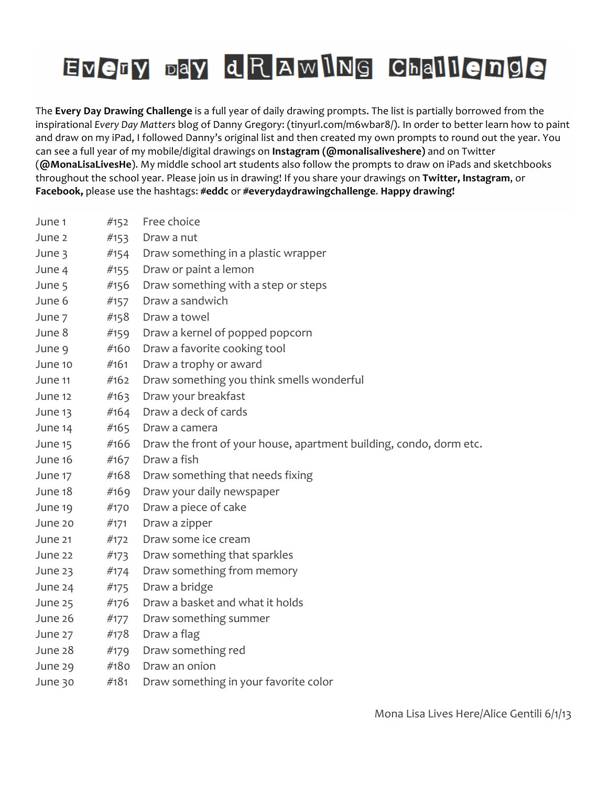| June 1  | #152 | Free choice                                                        |
|---------|------|--------------------------------------------------------------------|
| June 2  | #153 | Draw a nut                                                         |
| June 3  | #154 | Draw something in a plastic wrapper                                |
| June 4  | #155 | Draw or paint a lemon                                              |
| June 5  | #156 | Draw something with a step or steps                                |
| June 6  | #157 | Draw a sandwich                                                    |
| June 7  | #158 | Draw a towel                                                       |
| June 8  | #159 | Draw a kernel of popped popcorn                                    |
| June 9  | #160 | Draw a favorite cooking tool                                       |
| June 10 | #161 | Draw a trophy or award                                             |
| June 11 | #162 | Draw something you think smells wonderful                          |
| June 12 | #163 | Draw your breakfast                                                |
| June 13 | #164 | Draw a deck of cards                                               |
| June 14 | #165 | Draw a camera                                                      |
| June 15 | #166 | Draw the front of your house, apartment building, condo, dorm etc. |
| June 16 | #167 | Draw a fish                                                        |
| June 17 | #168 | Draw something that needs fixing                                   |
| June 18 | #169 | Draw your daily newspaper                                          |
| June 19 | #170 | Draw a piece of cake                                               |
| June 20 | #171 | Draw a zipper                                                      |
| June 21 | #172 | Draw some ice cream                                                |
| June 22 | #173 | Draw something that sparkles                                       |
| June 23 | #174 | Draw something from memory                                         |
| June 24 | #175 | Draw a bridge                                                      |
| June 25 | #176 | Draw a basket and what it holds                                    |
| June 26 | #177 | Draw something summer                                              |
| June 27 | #178 | Draw a flag                                                        |
| June 28 | #179 | Draw something red                                                 |
| June 29 | #180 | Draw an onion                                                      |
| June 30 | #181 | Draw something in your favorite color                              |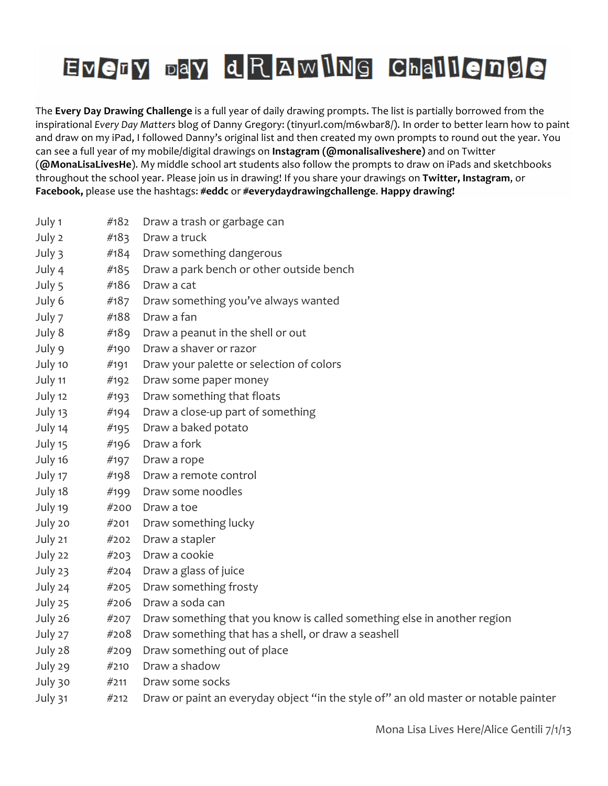| July 1  | #182 | Draw a trash or garbage can                                                         |
|---------|------|-------------------------------------------------------------------------------------|
| July 2  | #183 | Draw a truck                                                                        |
| July 3  | #184 | Draw something dangerous                                                            |
| July 4  | #185 | Draw a park bench or other outside bench                                            |
| July 5  | #186 | Draw a cat                                                                          |
| July 6  | #187 | Draw something you've always wanted                                                 |
| July 7  | #188 | Draw a fan                                                                          |
| July 8  | #189 | Draw a peanut in the shell or out                                                   |
| July 9  | #190 | Draw a shaver or razor                                                              |
| July 10 | #191 | Draw your palette or selection of colors                                            |
| July 11 | #192 | Draw some paper money                                                               |
| July 12 | #193 | Draw something that floats                                                          |
| July 13 | #194 | Draw a close-up part of something                                                   |
| July 14 | #195 | Draw a baked potato                                                                 |
| July 15 | #196 | Draw a fork                                                                         |
| July 16 | #197 | Draw a rope                                                                         |
| July 17 | #198 | Draw a remote control                                                               |
| July 18 | #199 | Draw some noodles                                                                   |
| July 19 | #200 | Draw a toe                                                                          |
| July 20 | #201 | Draw something lucky                                                                |
| July 21 | #202 | Draw a stapler                                                                      |
| July 22 | #203 | Draw a cookie                                                                       |
| July 23 | #204 | Draw a glass of juice                                                               |
| July 24 | #205 | Draw something frosty                                                               |
| July 25 | #206 | Draw a soda can                                                                     |
| July 26 | #207 | Draw something that you know is called something else in another region             |
| July 27 | #208 | Draw something that has a shell, or draw a seashell                                 |
| July 28 | #209 | Draw something out of place                                                         |
| July 29 | #210 | Draw a shadow                                                                       |
| July 30 | #211 | Draw some socks                                                                     |
| July 31 | #212 | Draw or paint an everyday object "in the style of" an old master or notable painter |
|         |      |                                                                                     |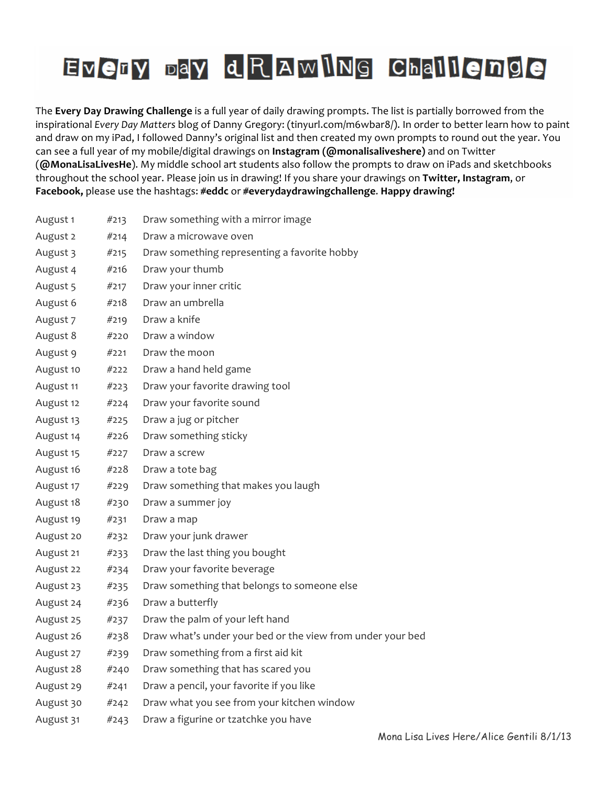| August 1  | #213 | Draw something with a mirror image                         |
|-----------|------|------------------------------------------------------------|
| August 2  | #214 | Draw a microwave oven                                      |
| August 3  | #215 | Draw something representing a favorite hobby               |
| August 4  | #216 | Draw your thumb                                            |
| August 5  | #217 | Draw your inner critic                                     |
| August 6  | #218 | Draw an umbrella                                           |
| August 7  | #219 | Draw a knife                                               |
| August 8  | #220 | Draw a window                                              |
| August 9  | #221 | Draw the moon                                              |
| August 10 | #222 | Draw a hand held game                                      |
| August 11 | #223 | Draw your favorite drawing tool                            |
| August 12 | #224 | Draw your favorite sound                                   |
| August 13 | #225 | Draw a jug or pitcher                                      |
| August 14 | #226 | Draw something sticky                                      |
| August 15 | #227 | Draw a screw                                               |
| August 16 | #228 | Draw a tote bag                                            |
| August 17 | #229 | Draw something that makes you laugh                        |
| August 18 | #230 | Draw a summer joy                                          |
| August 19 | #231 | Draw a map                                                 |
| August 20 | #232 | Draw your junk drawer                                      |
| August 21 | #233 | Draw the last thing you bought                             |
| August 22 | #234 | Draw your favorite beverage                                |
| August 23 | #235 | Draw something that belongs to someone else                |
| August 24 | #236 | Draw a butterfly                                           |
| August 25 | #237 | Draw the palm of your left hand                            |
| August 26 | #238 | Draw what's under your bed or the view from under your bed |
| August 27 | #239 | Draw something from a first aid kit                        |
| August 28 | #240 | Draw something that has scared you                         |
| August 29 | #241 | Draw a pencil, your favorite if you like                   |
| August 30 | #242 | Draw what you see from your kitchen window                 |
| August 31 | #243 | Draw a figurine or tzatchke you have                       |
|           |      |                                                            |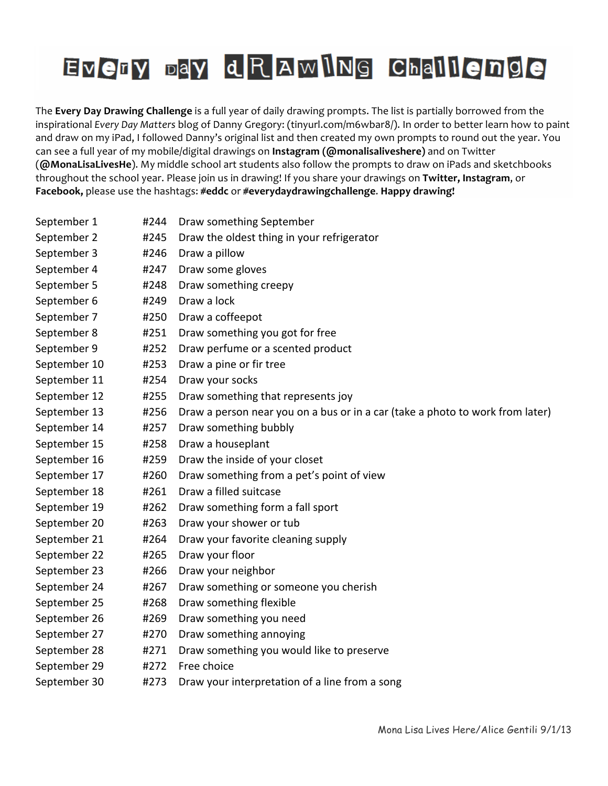| September 1  | #244 | Draw something September                                                      |
|--------------|------|-------------------------------------------------------------------------------|
| September 2  | #245 | Draw the oldest thing in your refrigerator                                    |
| September 3  | #246 | Draw a pillow                                                                 |
| September 4  | #247 | Draw some gloves                                                              |
| September 5  | #248 | Draw something creepy                                                         |
| September 6  | #249 | Draw a lock                                                                   |
| September 7  | #250 | Draw a coffeepot                                                              |
| September 8  | #251 | Draw something you got for free                                               |
| September 9  | #252 | Draw perfume or a scented product                                             |
| September 10 | #253 | Draw a pine or fir tree                                                       |
| September 11 | #254 | Draw your socks                                                               |
| September 12 | #255 | Draw something that represents joy                                            |
| September 13 | #256 | Draw a person near you on a bus or in a car (take a photo to work from later) |
| September 14 | #257 | Draw something bubbly                                                         |
| September 15 | #258 | Draw a houseplant                                                             |
| September 16 | #259 | Draw the inside of your closet                                                |
| September 17 | #260 | Draw something from a pet's point of view                                     |
| September 18 | #261 | Draw a filled suitcase                                                        |
| September 19 | #262 | Draw something form a fall sport                                              |
| September 20 | #263 | Draw your shower or tub                                                       |
| September 21 | #264 | Draw your favorite cleaning supply                                            |
| September 22 | #265 | Draw your floor                                                               |
| September 23 | #266 | Draw your neighbor                                                            |
| September 24 | #267 | Draw something or someone you cherish                                         |
| September 25 | #268 | Draw something flexible                                                       |
| September 26 | #269 | Draw something you need                                                       |
| September 27 | #270 | Draw something annoying                                                       |
| September 28 | #271 | Draw something you would like to preserve                                     |
| September 29 | #272 | Free choice                                                                   |
| September 30 | #273 | Draw your interpretation of a line from a song                                |
|              |      |                                                                               |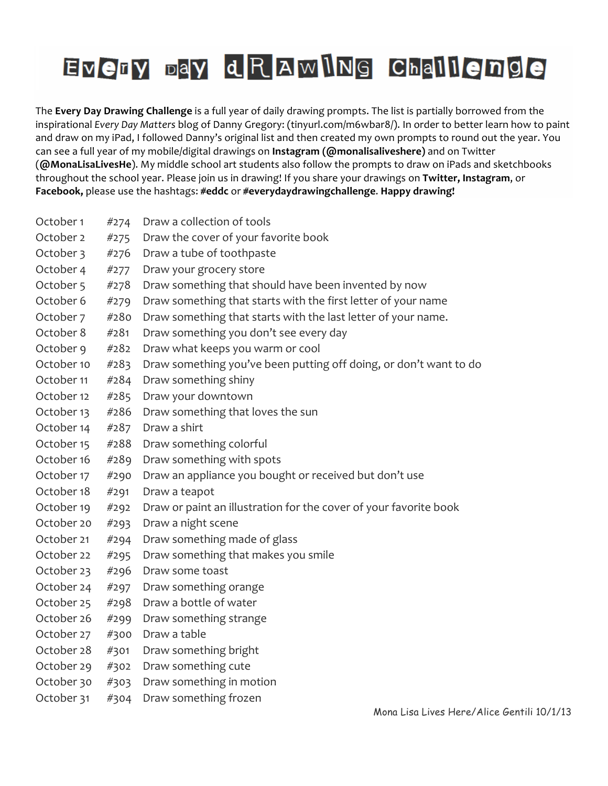The **Every Day Drawing Challenge** is a full year of daily drawing prompts. The list is partially borrowed from the inspirational *Every Day Matters* blog of Danny Gregory: (tinyurl.com/m6wbar8/). In order to better learn how to paint and draw on my iPad, I followed Danny's original list and then created my own prompts to round out the year. You can see a full year of my mobile/digital drawings on Instagram (@monalisaliveshere) and on Twitter (@MonaLisaLivesHe). My middle school art students also follow the prompts to draw on iPads and sketchbooks throughout the school year. Please join us in drawing! If you share your drawings on Twitter, Instagram, or Facebook, please use the hashtags: #eddc or #everydaydrawingchallenge. Happy drawing!

| October 1  | #274 | Draw a collection of tools                                        |
|------------|------|-------------------------------------------------------------------|
| October 2  | #275 | Draw the cover of your favorite book                              |
| October 3  | #276 | Draw a tube of toothpaste                                         |
| October 4  | #277 | Draw your grocery store                                           |
| October 5  | #278 | Draw something that should have been invented by now              |
| October 6  | #279 | Draw something that starts with the first letter of your name     |
| October 7  | #280 | Draw something that starts with the last letter of your name.     |
| October 8  | #281 | Draw something you don't see every day                            |
| October 9  | #282 | Draw what keeps you warm or cool                                  |
| October 10 | #283 | Draw something you've been putting off doing, or don't want to do |
| October 11 | #284 | Draw something shiny                                              |
| October 12 | #285 | Draw your downtown                                                |
| October 13 | #286 | Draw something that loves the sun                                 |
| October 14 | #287 | Draw a shirt                                                      |
| October 15 | #288 | Draw something colorful                                           |
| October 16 | #289 | Draw something with spots                                         |
| October 17 | #290 | Draw an appliance you bought or received but don't use            |
| October 18 | #291 | Draw a teapot                                                     |
| October 19 | #292 | Draw or paint an illustration for the cover of your favorite book |
| October 20 | #293 | Draw a night scene                                                |
| October 21 | #294 | Draw something made of glass                                      |
| October 22 | #295 | Draw something that makes you smile                               |
| October 23 | #296 | Draw some toast                                                   |
| October 24 | #297 | Draw something orange                                             |
| October 25 | #298 | Draw a bottle of water                                            |
| October 26 | #299 | Draw something strange                                            |
| October 27 | #300 | Draw a table                                                      |
| October 28 | #301 | Draw something bright                                             |
| October 29 | #302 | Draw something cute                                               |
| October 30 | #303 | Draw something in motion                                          |
| October 31 | #304 | Draw something frozen                                             |
|            |      |                                                                   |

Mona Lisa Lives Here/Alice Gentili 10/1/13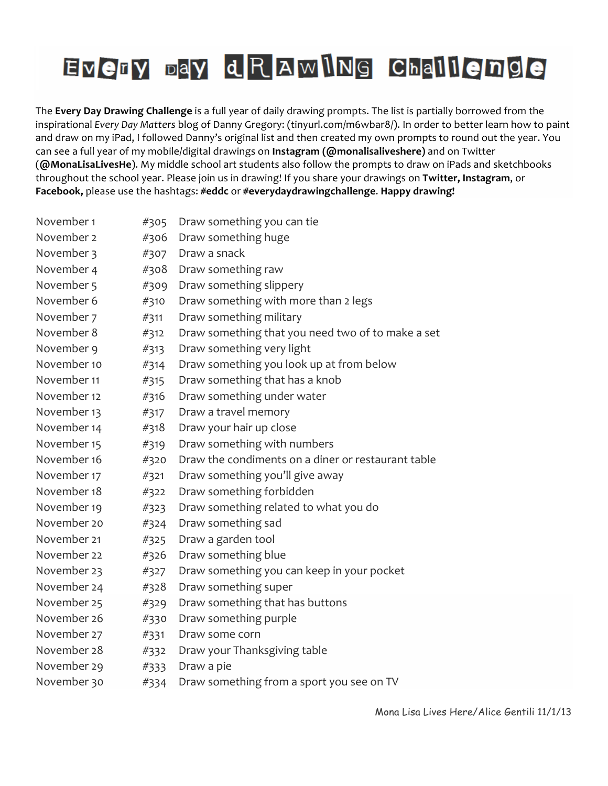| November 1  | #305 | Draw something you can tie                         |
|-------------|------|----------------------------------------------------|
| November 2  | #306 | Draw something huge                                |
| November 3  | #307 | Draw a snack                                       |
| November 4  | #308 | Draw something raw                                 |
| November 5  | #309 | Draw something slippery                            |
| November 6  | #310 | Draw something with more than 2 legs               |
| November 7  | #311 | Draw something military                            |
| November 8  | #312 | Draw something that you need two of to make a set  |
| November 9  | #313 | Draw something very light                          |
| November 10 | #314 | Draw something you look up at from below           |
| November 11 | #315 | Draw something that has a knob                     |
| November 12 | #316 | Draw something under water                         |
| November 13 | #317 | Draw a travel memory                               |
| November 14 | #318 | Draw your hair up close                            |
| November 15 | #319 | Draw something with numbers                        |
| November 16 | #320 | Draw the condiments on a diner or restaurant table |
| November 17 | #321 | Draw something you'll give away                    |
| November 18 | #322 | Draw something forbidden                           |
| November 19 | #323 | Draw something related to what you do              |
| November 20 | #324 | Draw something sad                                 |
| November 21 | #325 | Draw a garden tool                                 |
| November 22 | #326 | Draw something blue                                |
| November 23 | #327 | Draw something you can keep in your pocket         |
| November 24 | #328 | Draw something super                               |
| November 25 | #329 | Draw something that has buttons                    |
| November 26 | #330 | Draw something purple                              |
| November 27 | #331 | Draw some corn                                     |
| November 28 | #332 | Draw your Thanksgiving table                       |
| November 29 | #333 | Draw a pie                                         |
| November 30 | #334 | Draw something from a sport you see on TV          |